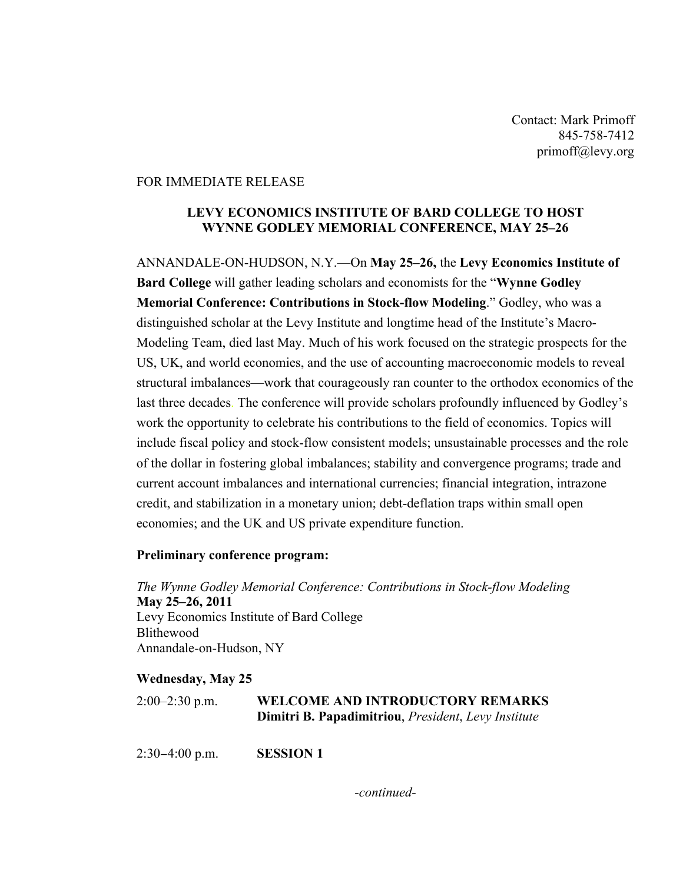Contact: Mark Primoff 845-758-7412 primoff@levy.org

## FOR IMMEDIATE RELEASE

## **LEVY ECONOMICS INSTITUTE OF BARD COLLEGE TO HOST WYNNE GODLEY MEMORIAL CONFERENCE, MAY 25–26**

ANNANDALE-ON-HUDSON, N.Y.—On **May 25–26,** the **Levy Economics Institute of Bard College** will gather leading scholars and economists for the "**Wynne Godley Memorial Conference: Contributions in Stock-flow Modeling**." Godley, who was a distinguished scholar at the Levy Institute and longtime head of the Institute's Macro-Modeling Team, died last May. Much of his work focused on the strategic prospects for the US, UK, and world economies, and the use of accounting macroeconomic models to reveal structural imbalances—work that courageously ran counter to the orthodox economics of the last three decades. The conference will provide scholars profoundly influenced by Godley's work the opportunity to celebrate his contributions to the field of economics. Topics will include fiscal policy and stock-flow consistent models; unsustainable processes and the role of the dollar in fostering global imbalances; stability and convergence programs; trade and current account imbalances and international currencies; financial integration, intrazone credit, and stabilization in a monetary union; debt-deflation traps within small open economies; and the UK and US private expenditure function.

## **Preliminary conference program:**

*The Wynne Godley Memorial Conference: Contributions in Stock-flow Modeling* **May 25–26, 2011** Levy Economics Institute of Bard College Blithewood Annandale-on-Hudson, NY

## **Wednesday, May 25**

| $2:00-2:30$ p.m. | <b>WELCOME AND INTRODUCTORY REMARKS</b>                                    |
|------------------|----------------------------------------------------------------------------|
|                  | <b>Dimitri B. Papadimitriou</b> , <i>President</i> , <i>Levy Institute</i> |

2:30−4:00 p.m. **SESSION 1**

*-continued-*